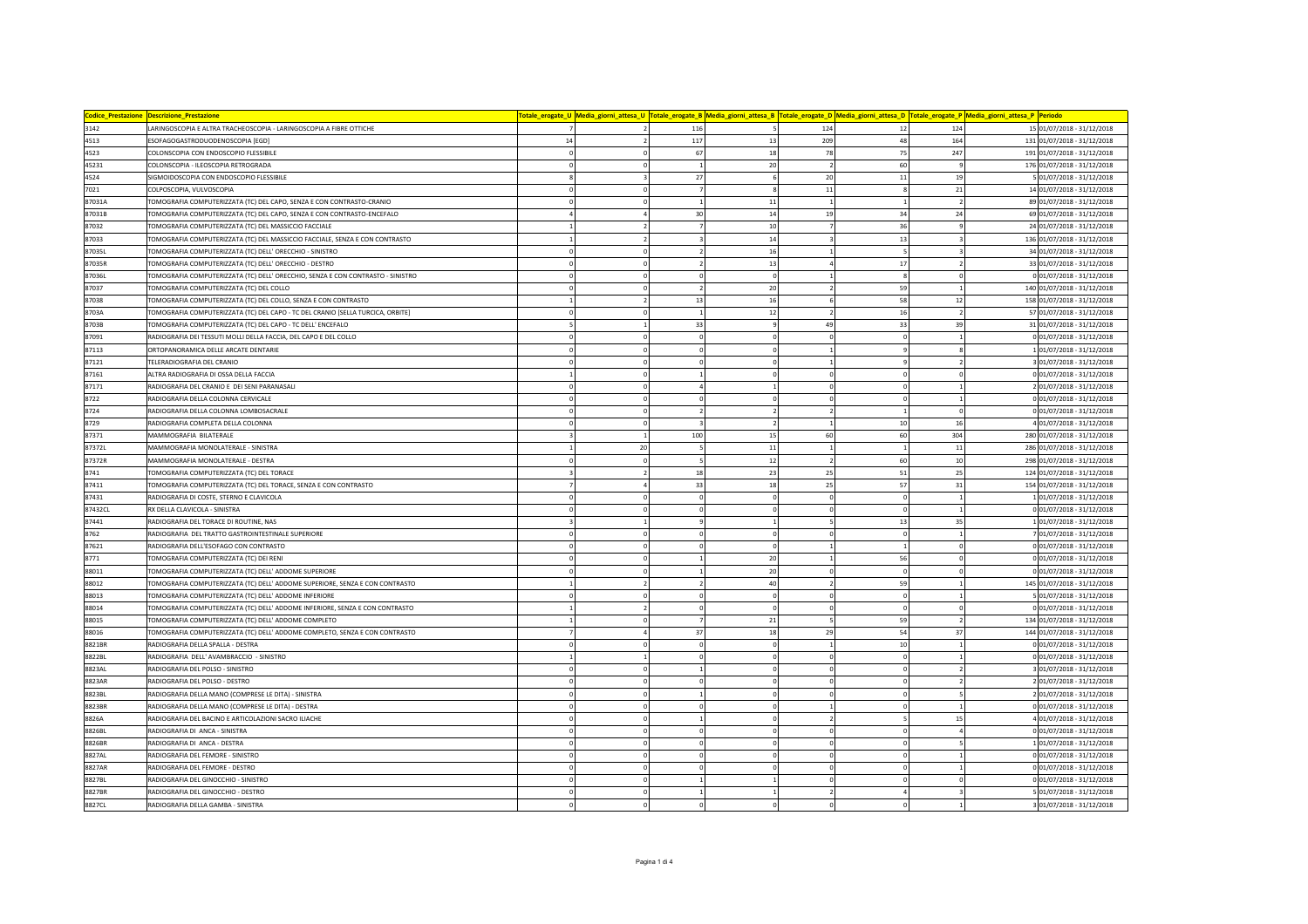| Codice_Prestazione<br><b>Descrizione Prestazione</b> |                                                                                 |                                |                |                                          | Totale_erogate_U <mark> Media_giorni_attesa_U  Totale_erogate_B  Media_giorni_attesa_B  Totale_erogate_D  Media_giorni_attesa_D  Totale_erogate_P  Media_giorni_attesa_P  Periodo</mark> |                             |  |
|------------------------------------------------------|---------------------------------------------------------------------------------|--------------------------------|----------------|------------------------------------------|------------------------------------------------------------------------------------------------------------------------------------------------------------------------------------------|-----------------------------|--|
| 3142                                                 | LARINGOSCOPIA E ALTRA TRACHEOSCOPIA - LARINGOSCOPIA A FIBRE OTTICHE             |                                | 116            | 124<br>12                                | 124                                                                                                                                                                                      | 15 01/07/2018 - 31/12/2018  |  |
| 4513                                                 | ESOFAGOGASTRODUODENOSCOPIA [EGD]                                                | 14<br>$\boldsymbol{2}$         | 117            | 13<br>209<br>48                          | 164                                                                                                                                                                                      | 131 01/07/2018 - 31/12/2018 |  |
| 4523                                                 | COLONSCOPIA CON ENDOSCOPIO FLESSIBILE                                           | $\Omega$<br>$\mathbf 0$        | 67             | 18<br>78<br>75                           | 247                                                                                                                                                                                      | 191 01/07/2018 - 31/12/2018 |  |
| 45231                                                | COLONSCOPIA - ILEOSCOPIA RETROGRADA                                             | $\Omega$                       | $\mathbf{1}$   | 20<br>60<br>$\overline{z}$               |                                                                                                                                                                                          | 176 01/07/2018 - 31/12/2018 |  |
| 4524                                                 | SIGMOIDOSCOPIA CON ENDOSCOPIO FLESSIBILE                                        | $\overline{\mathbf{3}}$        | 27             | $6\phantom{a}$<br>20<br>$11\,$           | 19                                                                                                                                                                                       | 5 01/07/2018 - 31/12/2018   |  |
| 7021                                                 | COLPOSCOPIA, VULVOSCOPIA                                                        | $\mathbf 0$<br>$^{\circ}$      |                | 8<br>11<br>ε                             | 21                                                                                                                                                                                       | 14 01/07/2018 - 31/12/2018  |  |
| 87031A                                               | TOMOGRAFIA COMPUTERIZZATA (TC) DEL CAPO, SENZA E CON CONTRASTO-CRANIO           | $\mathbf 0$                    | $\mathbf{1}$   | 11                                       |                                                                                                                                                                                          | 89 01/07/2018 - 31/12/2018  |  |
| 87031B                                               | TOMOGRAFIA COMPUTERIZZATA (TC) DEL CAPO, SENZA E CON CONTRASTO-ENCEFALO         | $\overline{a}$                 | 30             | 14<br>19<br>34                           | 24                                                                                                                                                                                       | 69 01/07/2018 - 31/12/2018  |  |
| 87032                                                | TOMOGRAFIA COMPUTERIZZATA (TC) DEL MASSICCIO FACCIALE                           | $\overline{\phantom{a}}$       |                | 10<br>36                                 |                                                                                                                                                                                          | 24 01/07/2018 - 31/12/2018  |  |
| 87033                                                | TOMOGRAFIA COMPUTERIZZATA (TC) DEL MASSICCIO FACCIALE, SENZA E CON CONTRASTO    | $\mathfrak{p}$                 | $\overline{3}$ | 14<br>13                                 |                                                                                                                                                                                          | 136 01/07/2018 - 31/12/2018 |  |
| 87035L                                               | <b>FOMOGRAFIA COMPUTERIZZATA (TC) DELL' ORECCHIO - SINISTRO</b>                 | $\mathbf 0$<br>$\mathbf 0$     | $\overline{2}$ | 16<br>$\mathbf{1}$                       |                                                                                                                                                                                          | 34 01/07/2018 - 31/12/2018  |  |
| 87035R                                               | <b>FOMOGRAFIA COMPUTERIZZATA (TC) DELL' ORECCHIO - DESTRO</b>                   | $\mathbf 0$<br>$\Omega$        | $\overline{2}$ | 13<br>17                                 |                                                                                                                                                                                          | 33 01/07/2018 - 31/12/2018  |  |
| 87036L                                               | TOMOGRAFIA COMPUTERIZZATA (TC) DELL' ORECCHIO, SENZA E CON CONTRASTO - SINISTRO | $\Omega$<br>$\Omega$           | $\mathbf 0$    | $\Omega$<br>×                            | $\epsilon$                                                                                                                                                                               | 0 01/07/2018 - 31/12/2018   |  |
| 87037                                                | TOMOGRAFIA COMPUTERIZZATA (TC) DEL COLLO                                        | $\mathbf 0$<br>$^{\circ}$      | $\overline{2}$ | 20<br>59<br>$\mathcal{P}$                |                                                                                                                                                                                          | 140 01/07/2018 - 31/12/2018 |  |
| 87038                                                | TOMOGRAFIA COMPUTERIZZATA (TC) DEL COLLO, SENZA E CON CONTRASTO                 | $\overline{2}$                 | 13             | 16<br>58                                 | 12                                                                                                                                                                                       | 158 01/07/2018 - 31/12/2018 |  |
| 87034                                                | TOMOGRAFIA COMPUTERIZZATA (TC) DEL CAPO - TC DEL CRANIO [SELLA TURCICA, ORBITE] | $\Omega$<br>$\Omega$           | $\mathbf{1}$   | 12<br>16<br>$\overline{2}$               |                                                                                                                                                                                          | 57 01/07/2018 - 31/12/2018  |  |
| 8703B                                                | TOMOGRAFIA COMPUTERIZZATA (TC) DEL CAPO - TC DELL' ENCEFALO                     | $\mathbf{1}$                   | 33             | 33<br>$\overline{9}$<br>49               | 39                                                                                                                                                                                       | 31 01/07/2018 - 31/12/2018  |  |
| 87091                                                | RADIOGRAFIA DEI TESSUTI MOLLI DELLA FACCIA, DEL CAPO E DEL COLLO                | $\Omega$                       | $\mathbf 0$    | $\Omega$                                 |                                                                                                                                                                                          | 0 01/07/2018 - 31/12/2018   |  |
| 87113                                                | ORTOPANORAMICA DELLE ARCATE DENTARIE                                            | $\circ$<br>$^{\circ}$          | $\circ$        | $\mathbf 0$<br>¢                         |                                                                                                                                                                                          | 101/07/2018 - 31/12/2018    |  |
| 87121                                                | TELERADIOGRAFIA DEL CRANIO                                                      | $\Omega$                       | $\Omega$       | $\Omega$                                 |                                                                                                                                                                                          | 3 01/07/2018 - 31/12/2018   |  |
| 87161                                                | ALTRA RADIOGRAFIA DI OSSA DELLA FACCIA                                          | $\Omega$                       | $\mathbf{1}$   | $\Omega$<br>$\Omega$<br>$\mathbf{r}$     |                                                                                                                                                                                          | 0 01/07/2018 - 31/12/2018   |  |
| 87171                                                | RADIOGRAFIA DEL CRANIO E DEI SENI PARANASALI                                    | $\Omega$<br>$^{\circ}$         | $\overline{a}$ | $\Omega$<br>$\epsilon$                   |                                                                                                                                                                                          | 2 01/07/2018 - 31/12/2018   |  |
| 8722                                                 | RADIOGRAFIA DELLA COLONNA CERVICALE                                             | $\mathbf 0$                    | $\mathbf 0$    | $\Omega$<br>$\Omega$                     |                                                                                                                                                                                          | 0 01/07/2018 - 31/12/2018   |  |
| 8724                                                 | RADIOGRAFIA DELLA COLONNA LOMBOSACRALE                                          | $\mathbf 0$<br>$\Omega$        | $\overline{2}$ | $\overline{2}$<br>$\mathfrak{p}$         |                                                                                                                                                                                          | 0 01/07/2018 - 31/12/2018   |  |
| 8729                                                 | RADIOGRAFIA COMPLETA DELLA COLONNA                                              | $\mathbf 0$<br>$\Omega$        |                | $\overline{2}$<br>10                     | 16                                                                                                                                                                                       | 4 01/07/2018 - 31/12/2018   |  |
| 87371                                                | MAMMOGRAFIA BILATERALE                                                          |                                | 100            | 60<br>60<br>15                           | 304                                                                                                                                                                                      | 280 01/07/2018 - 31/12/2018 |  |
| 87372L                                               | MAMMOGRAFIA MONOLATERALE - SINISTRA                                             | 20                             | 5              | 11                                       | 11                                                                                                                                                                                       | 286 01/07/2018 - 31/12/2018 |  |
| 87372R                                               | MAMMOGRAFIA MONOLATERALE - DESTRA                                               | $\mathbf 0$                    | 5              | $12\,$<br>60                             | 10                                                                                                                                                                                       | 298 01/07/2018 - 31/12/2018 |  |
| 8741                                                 | TOMOGRAFIA COMPUTERIZZATA (TC) DEL TORACE                                       | $\overline{2}$                 | 18             | 23<br>25<br>51                           | 25                                                                                                                                                                                       | 124 01/07/2018 - 31/12/2018 |  |
| 87411                                                | TOMOGRAFIA COMPUTERIZZATA (TC) DEL TORACE, SENZA E CON CONTRASTO                | $\overline{a}$                 | 33             | 18<br>25<br>57                           | 31                                                                                                                                                                                       | 154 01/07/2018 - 31/12/2018 |  |
| 87431                                                | RADIOGRAFIA DI COSTE, STERNO E CLAVICOLA                                        | $\Omega$                       | $\Omega$       | $\Omega$                                 |                                                                                                                                                                                          | 101/07/2018 - 31/12/2018    |  |
| 87432CL                                              | RX DELLA CLAVICOLA - SINISTRA                                                   | $\mathbf 0$<br>$\Omega$        | $\Omega$       | $\Omega$<br>$\Omega$<br>$\epsilon$       |                                                                                                                                                                                          | 0 01/07/2018 - 31/12/2018   |  |
| 87441                                                | RADIOGRAFIA DEL TORACE DI ROUTINE, NAS                                          | $\mathbf{1}$                   | $\ddot{q}$     | 13<br>$\mathbf{1}$                       | 35                                                                                                                                                                                       | 1 01/07/2018 - 31/12/2018   |  |
| 8762                                                 | RADIOGRAFIA DEL TRATTO GASTROINTESTINALE SUPERIORE                              | $\mathbf 0$                    | $\mathbf 0$    | $\Omega$<br>-C<br>$\Omega$               |                                                                                                                                                                                          | 7 01/07/2018 - 31/12/2018   |  |
| 87621                                                | RADIOGRAFIA DELL'ESOFAGO CON CONTRASTO                                          | 0<br>$\mathbf 0$               | $\mathbf 0$    | $\mathbf 0$                              |                                                                                                                                                                                          | 0 01/07/2018 - 31/12/2018   |  |
| 8771                                                 | <b>FOMOGRAFIA COMPUTERIZZATA (TC) DEI RENI</b>                                  | $\mathbf 0$                    |                | 20<br>56                                 |                                                                                                                                                                                          | 0 01/07/2018 - 31/12/2018   |  |
| 88011                                                | <b>FOMOGRAFIA COMPUTERIZZATA (TC) DELL' ADDOME SUPERIORE</b>                    | $\Omega$<br>$\Omega$           | $\overline{1}$ | 20<br>$\Omega$                           |                                                                                                                                                                                          | 0 01/07/2018 - 31/12/2018   |  |
| 88012                                                | TOMOGRAFIA COMPUTERIZZATA (TC) DELL' ADDOME SUPERIORE, SENZA E CON CONTRASTO    | $\overline{2}$<br>$\mathbf{1}$ | $\overline{2}$ | 40<br>59                                 |                                                                                                                                                                                          | 145 01/07/2018 - 31/12/2018 |  |
| 88013                                                | TOMOGRAFIA COMPUTERIZZATA (TC) DELL' ADDOME INFERIORE                           |                                | $\Omega$       | $\Omega$<br>$\Omega$<br>$\epsilon$       |                                                                                                                                                                                          | 5 01/07/2018 - 31/12/2018   |  |
| 88014                                                | TOMOGRAFIA COMPUTERIZZATA (TC) DELL' ADDOME INFERIORE, SENZA E CON CONTRASTO    | $\overline{2}$                 | $\circ$        | $\mathbf 0$<br>$\mathbf 0$<br>$\epsilon$ |                                                                                                                                                                                          | 0 01/07/2018 - 31/12/2018   |  |
| 88015                                                | TOMOGRAFIA COMPUTERIZZATA (TC) DELL' ADDOME COMPLETO                            | $\mathbf 0$                    |                | 21<br>59                                 |                                                                                                                                                                                          | 134 01/07/2018 - 31/12/2018 |  |
| 88016                                                | TOMOGRAFIA COMPUTERIZZATA (TC) DELL' ADDOME COMPLETO, SENZA E CON CONTRASTO     |                                | 37             | 18<br>54<br>29                           | 37                                                                                                                                                                                       | 144 01/07/2018 - 31/12/2018 |  |
| 8821BR                                               | RADIOGRAFIA DELLA SPALLA - DESTRA                                               | $\Omega$<br>$^{\circ}$         | $\Omega$       | 10<br>$\Omega$                           |                                                                                                                                                                                          | 0 01/07/2018 - 31/12/2018   |  |
| 8822BL                                               | RADIOGRAFIA DELL' AVAMBRACCIO - SINISTRO                                        |                                | $\Omega$       |                                          |                                                                                                                                                                                          | 0 01/07/2018 - 31/12/2018   |  |
| 8823AL                                               | RADIOGRAFIA DEL POLSO - SINISTRO                                                | $\mathbf 0$<br>$\mathbf 0$     | $\overline{1}$ | $\mathbf 0$<br>$\mathbf 0$               |                                                                                                                                                                                          | 3 01/07/2018 - 31/12/2018   |  |
| 8823AR                                               | RADIOGRAFIA DEL POLSO - DESTRO                                                  | $\mathbf 0$                    | $\mathbf 0$    | $\mathbf 0$<br>$\Omega$                  |                                                                                                                                                                                          | 2 01/07/2018 - 31/12/2018   |  |
| 8823BL                                               | RADIOGRAFIA DELLA MANO (COMPRESE LE DITA) - SINISTRA                            |                                |                |                                          |                                                                                                                                                                                          | 2 01/07/2018 - 31/12/2018   |  |
| 8823BR                                               | RADIOGRAFIA DELLA MANO (COMPRESE LE DITA) - DESTRA                              | $\mathbf 0$<br>$\Omega$        | $\Omega$       | $\mathbf 0$                              |                                                                                                                                                                                          | 0 01/07/2018 - 31/12/2018   |  |
| 8826A                                                | RADIOGRAFIA DEL BACINO E ARTICOLAZIONI SACRO ILIACHE                            | $\Omega$<br>$\Omega$           |                | $\Omega$                                 | 15                                                                                                                                                                                       | 4 01/07/2018 - 31/12/2018   |  |
| 8826BL                                               | RADIOGRAFIA DI ANCA - SINISTRA                                                  | $\Omega$<br>$\Omega$           | $\Omega$       | $\Omega$<br>$\Omega$<br>$\sqrt{2}$       |                                                                                                                                                                                          | 0 01/07/2018 - 31/12/2018   |  |
| 8826BF                                               | RADIOGRAFIA DI ANCA - DESTRA                                                    | $\mathbf 0$<br>$\pmb{0}$       | $\circ$        | O                                        |                                                                                                                                                                                          | 101/07/2018 - 31/12/2018    |  |
| 8827AL                                               | RADIOGRAFIA DEL FEMORE - SINISTRO                                               |                                |                |                                          |                                                                                                                                                                                          | 0 01/07/2018 - 31/12/2018   |  |
| 8827AR                                               | RADIOGRAFIA DEL FEMORE - DESTRO                                                 | $\Omega$<br>$^{\circ}$         | $\Omega$       | 0                                        |                                                                                                                                                                                          | 0 01/07/2018 - 31/12/2018   |  |
| 8827BL                                               | RADIOGRAFIA DEL GINOCCHIO - SINISTRO                                            | $\Omega$                       |                |                                          |                                                                                                                                                                                          | 0 01/07/2018 - 31/12/2018   |  |
| 8827BR                                               | RADIOGRAFIA DEL GINOCCHIO - DESTRO                                              |                                |                |                                          |                                                                                                                                                                                          | 5 01/07/2018 - 31/12/2018   |  |
| 8827CL                                               | RADIOGRAFIA DELLA GAMBA - SINISTRA                                              | $\Omega$                       | $\Omega$       | $\Omega$                                 |                                                                                                                                                                                          | 3 01/07/2018 - 31/12/2018   |  |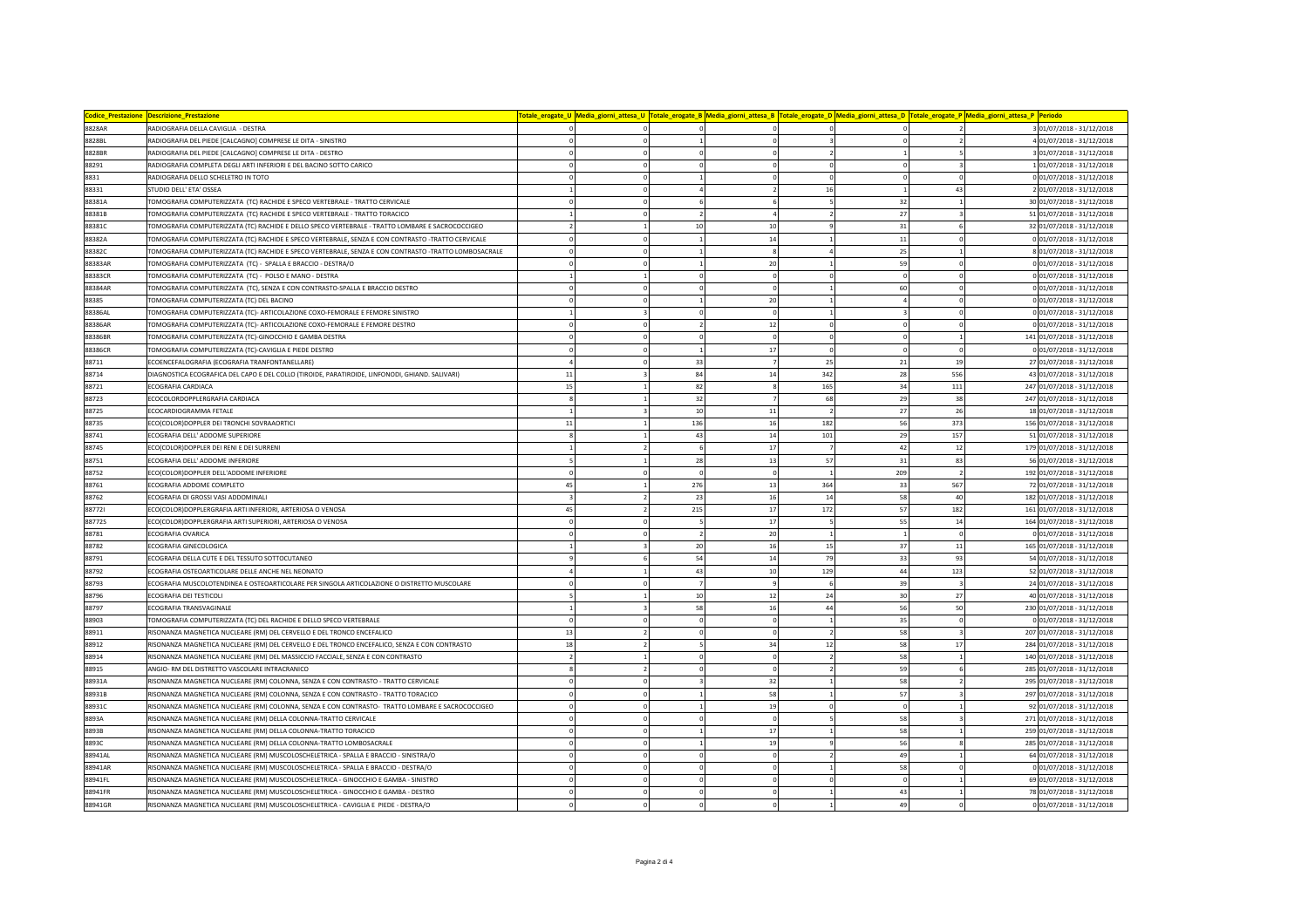| <b>Codice_Prestazione</b> | <b>Descrizione Prestazion</b>                                                                         |                            |     |             |          |              |                          | 'otale_erogate_U  Media_giorni_attesa_U  Totale_erogate_B  Media_giorni_attesa_B  Totale_erogate_D  Media_giorni_attesa_O  Totale_erogate_P  Media_giorni_attesa_P  Periodo |                             |
|---------------------------|-------------------------------------------------------------------------------------------------------|----------------------------|-----|-------------|----------|--------------|--------------------------|-----------------------------------------------------------------------------------------------------------------------------------------------------------------------------|-----------------------------|
| 8828AR                    | RADIOGRAFIA DELLA CAVIGLIA - DESTRA                                                                   |                            |     |             |          |              | 2                        |                                                                                                                                                                             | 3 01/07/2018 - 31/12/2018   |
| 8828BL                    | RADIOGRAFIA DEL PIEDE [CALCAGNO] COMPRESE LE DITA - SINISTRO                                          |                            |     |             |          |              | $\overline{2}$           |                                                                                                                                                                             | 4 01/07/2018 - 31/12/2018   |
| <b>8828BF</b>             | RADIOGRAFIA DEL PIEDE [CALCAGNO] COMPRESE LE DITA - DESTRO                                            | $\Omega$                   |     | $\Omega$    |          | $\mathbf{1}$ | $\overline{\phantom{0}}$ |                                                                                                                                                                             | 3 01/07/2018 - 31/12/2018   |
| 88291                     | RADIOGRAFIA COMPLETA DEGLI ARTI INFERIORI E DEL BACINO SOTTO CARICO                                   | $\Omega$                   |     |             | $\Omega$ | $\Omega$     |                          |                                                                                                                                                                             | 101/07/2018 - 31/12/2018    |
| 8831                      | RADIOGRAFIA DELLO SCHELETRO IN TOTO                                                                   |                            |     |             | $\Omega$ | $\Omega$     | $\Omega$                 |                                                                                                                                                                             | 0 01/07/2018 - 31/12/2018   |
| 88331                     | STUDIO DELL' ETA' OSSEA                                                                               |                            |     |             | 16       |              | 43                       |                                                                                                                                                                             | 2 01/07/2018 - 31/12/2018   |
| 88381A                    | TOMOGRAFIA COMPUTERIZZATA (TC) RACHIDE E SPECO VERTEBRALE - TRATTO CERVICALE                          | 0                          |     |             |          | 32           |                          |                                                                                                                                                                             | 30 01/07/2018 - 31/12/2018  |
| 88381B                    | TOMOGRAFIA COMPUTERIZZATA (TC) RACHIDE E SPECO VERTEBRALE - TRATTO TORACICO                           |                            |     |             |          | 27           |                          |                                                                                                                                                                             | 51 01/07/2018 - 31/12/2018  |
| 88381C                    | TOMOGRAFIA COMPUTERIZZATA (TC) RACHIDE E DELLO SPECO VERTEBRALE - TRATTO LOMBARE E SACROCOCCIGEO      | $\mathcal{P}$              | 10  | 10          |          | 31           |                          |                                                                                                                                                                             | 32 01/07/2018 - 31/12/2018  |
| 88382A                    | TOMOGRAFIA COMPUTERIZZATA (TC) RACHIDE E SPECO VERTEBRALE, SENZA E CON CONTRASTO -TRATTO CERVICALE    | $\overline{0}$             |     | 14          |          | 11           |                          |                                                                                                                                                                             | 0 01/07/2018 - 31/12/2018   |
| 88382C                    | TOMOGRAFIA COMPUTERIZZATA (TC) RACHIDE E SPECO VERTEBRALE, SENZA E CON CONTRASTO -TRATTO LOMBOSACRALE | 0                          |     | 8           |          | 25           |                          |                                                                                                                                                                             | 8 01/07/2018 - 31/12/2018   |
| 88383AR                   | TOMOGRAFIA COMPUTERIZZATA (TC) - SPALLA E BRACCIO - DESTRA/O                                          | $\Omega$                   |     | 20          |          | 59           |                          |                                                                                                                                                                             | 0 01/07/2018 - 31/12/2018   |
| 88383CF                   | TOMOGRAFIA COMPUTERIZZATA (TC) - POLSO E MANO - DESTRA                                                |                            |     | $\Omega$    | $\Omega$ | $\Omega$     | $\Omega$                 |                                                                                                                                                                             | 0 01/07/2018 - 31/12/2018   |
| 88384AR                   | TOMOGRAFIA COMPUTERIZZATA (TC), SENZA E CON CONTRASTO-SPALLA E BRACCIO DESTRO                         |                            |     | $\Omega$    |          | 60           | $\mathbf{0}$             |                                                                                                                                                                             | 0 01/07/2018 - 31/12/2018   |
| 88385                     | TOMOGRAFIA COMPUTERIZZATA (TC) DEL BACINO                                                             |                            |     | 20          |          |              |                          |                                                                                                                                                                             | 0 01/07/2018 - 31/12/2018   |
| 88386AL                   | TOMOGRAFIA COMPUTERIZZATA (TC)- ARTICOLAZIONE COXO-FEMORALE E FEMORE SINISTRO                         |                            |     | $\Omega$    |          |              | $\Omega$                 |                                                                                                                                                                             | 0 01/07/2018 - 31/12/2018   |
| 88386AR                   | TOMOGRAFIA COMPUTERIZZATA (TC)- ARTICOLAZIONE COXO-FEMORALE E FEMORE DESTRO                           | $\Omega$                   |     | 12          |          | $\Omega$     | $\Omega$                 |                                                                                                                                                                             | 0 01/07/2018 - 31/12/2018   |
| 88386BR                   | TOMOGRAFIA COMPUTERIZZATA (TC)-GINOCCHIO E GAMBA DESTRA                                               |                            |     |             |          | $\Omega$     |                          |                                                                                                                                                                             | 141 01/07/2018 - 31/12/2018 |
| 88386CR                   | TOMOGRAFIA COMPUTERIZZATA (TC)-CAVIGLIA E PIEDE DESTRO                                                | 0                          |     | 17          | $\Omega$ | $\mathbf{0}$ | $\mathbf{0}$             |                                                                                                                                                                             | 0 01/07/2018 - 31/12/2018   |
| 88711                     | ECOENCEFALOGRAFIA (ECOGRAFIA TRANFONTANELLARE)                                                        | $\overline{a}$             | 33  |             | 25       | 21           | 19                       |                                                                                                                                                                             | 27 01/07/2018 - 31/12/2018  |
| 88714                     | DIAGNOSTICA ECOGRAFICA DEL CAPO E DEL COLLO (TIROIDE, PARATIROIDE, LINFONODI, GHIAND. SALIVARI)       | 11                         | 84  | 14          | 342      | 28           | 556                      |                                                                                                                                                                             | 43 01/07/2018 - 31/12/2018  |
| 88721                     | ECOGRAFIA CARDIACA                                                                                    | 15                         | 82  |             | 165      | 34           | $111\,$                  |                                                                                                                                                                             | 247 01/07/2018 - 31/12/2018 |
| 88723                     | ECOCOLORDOPPLERGRAFIA CARDIACA                                                                        |                            | 32  |             | 68       | 29           | 38                       |                                                                                                                                                                             | 247 01/07/2018 - 31/12/2018 |
| 88725                     | ECOCARDIOGRAMMA FETALE                                                                                |                            | 10  | 11          |          | 27           | 26                       |                                                                                                                                                                             | 18 01/07/2018 - 31/12/2018  |
| 88735                     | ECO(COLOR)DOPPLER DEI TRONCHI SOVRAAORTICI                                                            | 11                         | 136 | 16          | 182      | 56           | 373                      |                                                                                                                                                                             | 156 01/07/2018 - 31/12/2018 |
| 88741                     | ECOGRAFIA DELL' ADDOME SUPERIORE                                                                      |                            | 43  | 14          | 101      | 29           | 157                      |                                                                                                                                                                             | 51 01/07/2018 - 31/12/2018  |
| 88745                     | ECO(COLOR)DOPPLER DEI RENI E DEI SURRENI                                                              |                            | 6   | 17          |          | 42           | 12                       |                                                                                                                                                                             | 179 01/07/2018 - 31/12/2018 |
| 88751                     | ECOGRAFIA DELL' ADDOME INFERIORE                                                                      |                            | 28  | $13\,$      | 57       | 31           | 83                       |                                                                                                                                                                             | 56 01/07/2018 - 31/12/2018  |
| 88752                     | ECO(COLOR)DOPPLER DELL'ADDOME INFERIORE                                                               | $\Omega$                   |     | $\Omega$    |          | 209          | $\overline{2}$           |                                                                                                                                                                             | 192 01/07/2018 - 31/12/2018 |
| 88761                     | ECOGRAFIA ADDOME COMPLETO                                                                             | 45                         | 276 | 13          | 364      | 33           | 567                      |                                                                                                                                                                             | 72 01/07/2018 - 31/12/2018  |
| 88762                     | ECOGRAFIA DI GROSSI VASI ADDOMINALI                                                                   |                            | 23  | 16          | 14       | 58           | 40                       |                                                                                                                                                                             | 182 01/07/2018 - 31/12/2018 |
| 887721                    | ECO(COLOR)DOPPLERGRAFIA ARTI INFERIORI, ARTERIOSA O VENOSA                                            | 45                         | 215 | 17          | 172      | 57           | 182                      |                                                                                                                                                                             | 161 01/07/2018 - 31/12/2018 |
| 88772S                    | ECO(COLOR)DOPPLERGRAFIA ARTI SUPERIORI, ARTERIOSA O VENOSA                                            | $\Omega$                   |     | 17          |          | 55           | 14                       |                                                                                                                                                                             | 164 01/07/2018 - 31/12/2018 |
| 88781                     | ECOGRAFIA OVARICA                                                                                     |                            |     | 20          |          |              | $\Omega$                 |                                                                                                                                                                             | 0 01/07/2018 - 31/12/2018   |
| 88782                     | ECOGRAFIA GINECOLOGICA                                                                                |                            | 20  | 16          | 15       | 37           | 11                       |                                                                                                                                                                             | 165 01/07/2018 - 31/12/2018 |
| 88791                     | ECOGRAFIA DELLA CUTE E DEL TESSUTO SOTTOCUTANEO                                                       |                            | 54  | 14          | 79       | 33           | 93                       |                                                                                                                                                                             | 54 01/07/2018 - 31/12/2018  |
| 88792                     | ECOGRAFIA OSTEOARTICOLARE DELLE ANCHE NEL NEONATO                                                     |                            | 43  | 10          | 129      | 44           | 123                      |                                                                                                                                                                             | 52 01/07/2018 - 31/12/2018  |
| 88793                     | ECOGRAFIA MUSCOLOTENDINEA E OSTEOARTICOLARE PER SINGOLA ARTICOLAZIONE O DISTRETTO MUSCOLARE           | $\Omega$                   |     |             |          | 39           |                          |                                                                                                                                                                             | 24 01/07/2018 - 31/12/2018  |
| 88796                     | ECOGRAFIA DEI TESTICOLI                                                                               |                            | 10  | 12          | 24       | 30           | 27                       |                                                                                                                                                                             | 40 01/07/2018 - 31/12/2018  |
| 88797                     | ECOGRAFIA TRANSVAGINALE                                                                               |                            | 58  | 16          | 44       | 56           | 50                       |                                                                                                                                                                             | 230 01/07/2018 - 31/12/2018 |
| 88903                     | TOMOGRAFIA COMPUTERIZZATA (TC) DEL RACHIDE E DELLO SPECO VERTEBRALE                                   | 0                          |     |             |          | 35           | $\Omega$                 |                                                                                                                                                                             | 0 01/07/2018 - 31/12/2018   |
| 88911                     | RISONANZA MAGNETICA NUCLEARE (RM) DEL CERVELLO E DEL TRONCO ENCEFALICO                                | 13                         |     | $\Omega$    |          | 58           | $\overline{\mathbf{a}}$  |                                                                                                                                                                             | 207 01/07/2018 - 31/12/2018 |
| 88912                     | RISONANZA MAGNETICA NUCLEARE (RM) DEL CERVELLO E DEL TRONCO ENCEFALICO, SENZA E CON CONTRASTO         | 18                         |     | 34          | 12       | 58           | 17                       |                                                                                                                                                                             | 284 01/07/2018 - 31/12/2018 |
| 88914                     | RISONANZA MAGNETICA NUCLEARE (RM) DEL MASSICCIO FACCIALE, SENZA E CON CONTRASTO                       |                            |     |             |          | 58           |                          |                                                                                                                                                                             | 140 01/07/2018 - 31/12/2018 |
| 88915                     | ANGIO- RM DEL DISTRETTO VASCOLARE INTRACRANICO                                                        | 8                          |     | $\mathbf 0$ |          | 59           | 6                        |                                                                                                                                                                             | 285 01/07/2018 - 31/12/2018 |
| 88931A                    | RISONANZA MAGNETICA NUCLEARE (RM) COLONNA, SENZA E CON CONTRASTO - TRATTO CERVICALE                   | 0                          |     | 32          |          | 58           |                          |                                                                                                                                                                             | 295 01/07/2018 - 31/12/2018 |
| 88931B                    | RISONANZA MAGNETICA NUCLEARE (RM) COLONNA, SENZA E CON CONTRASTO - TRATTO TORACICO                    |                            |     | 58          |          | 57           |                          |                                                                                                                                                                             | 297 01/07/2018 - 31/12/2018 |
| 88931C                    | RISONANZA MAGNETICA NUCLEARE (RM) COLONNA, SENZA E CON CONTRASTO- TRATTO LOMBARE E SACROCOCCIGEO      | $\Omega$                   |     | 19          | $\Omega$ | $\mathbf 0$  |                          |                                                                                                                                                                             | 92 01/07/2018 - 31/12/2018  |
| 8893A                     | RISONANZA MAGNETICA NUCLEARE (RM) DELLA COLONNA-TRATTO CERVICALE                                      | $\Omega$<br>$\overline{a}$ |     |             |          | 58           |                          |                                                                                                                                                                             | 271 01/07/2018 - 31/12/2018 |
| 8893B                     | RISONANZA MAGNETICA NUCLEARE (RM) DELLA COLONNA-TRATTO TORACICO                                       |                            |     | 17          |          | 58           |                          |                                                                                                                                                                             | 259 01/07/2018 - 31/12/2018 |
| 8893C                     | RISONANZA MAGNETICA NUCLEARE (RM) DELLA COLONNA-TRATTO LOMBOSACRALE                                   | $\mathbf{0}$               |     | 19          |          | 56           |                          |                                                                                                                                                                             | 285 01/07/2018 - 31/12/2018 |
| 88941AL                   | RISONANZA MAGNETICA NUCLEARE (RM) MUSCOLOSCHELETRICA - SPALLA E BRACCIO - SINISTRA/O                  |                            |     |             |          | 49           |                          |                                                                                                                                                                             | 64 01/07/2018 - 31/12/2018  |
| 88941AR                   | RISONANZA MAGNETICA NUCLEARE (RM) MUSCOLOSCHELETRICA - SPALLA E BRACCIO - DESTRA/O                    |                            |     |             |          | 58           |                          |                                                                                                                                                                             | 0 01/07/2018 - 31/12/2018   |
| 88941FL<br><b>88941FF</b> | RISONANZA MAGNETICA NUCLEARE (RM) MUSCOLOSCHELETRICA - GINOCCHIO E GAMBA - SINISTRO                   | 0                          |     |             |          | 43           |                          |                                                                                                                                                                             | 69 01/07/2018 - 31/12/2018  |
|                           | RISONANZA MAGNETICA NUCLEARE (RM) MUSCOLOSCHELETRICA - GINOCCHIO E GAMBA - DESTRO                     |                            |     |             |          |              |                          |                                                                                                                                                                             | 78 01/07/2018 - 31/12/2018  |
| 88941GR                   | RISONANZA MAGNETICA NUCLEARE (RM) MUSCOLOSCHELETRICA - CAVIGLIA E PIEDE - DESTRA/O                    |                            |     |             |          | 49           |                          |                                                                                                                                                                             | 0 01/07/2018 - 31/12/2018   |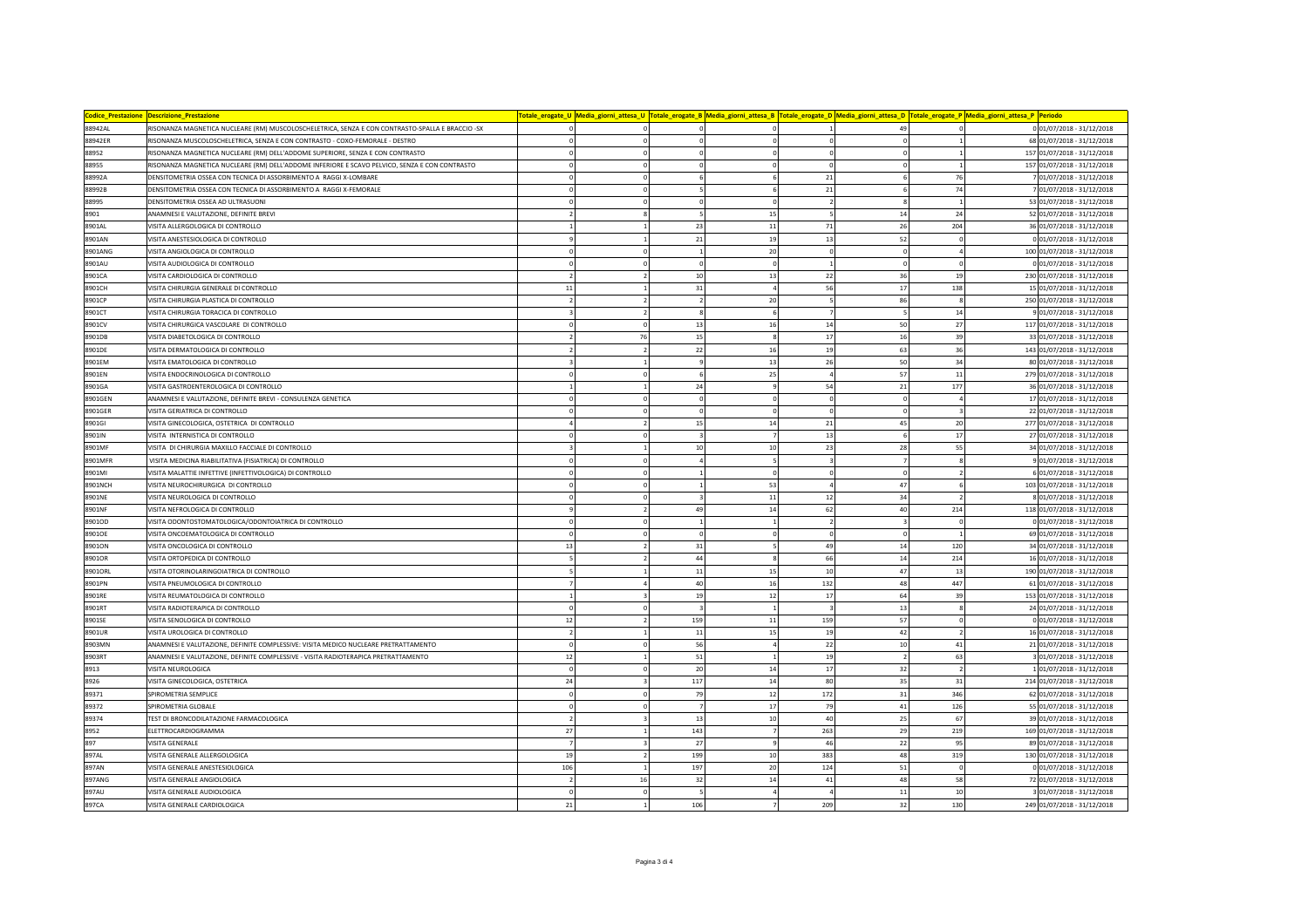| <b>Codice Prestazione</b> | <b>Descrizione Prestazion</b>                                                                    |           |                                        |                | Totale_erogate_U <mark> Media_giorni_attesa_U  Totale_erogate_B  Media_giorni_attesa_B  Totale_erogate_D  Media_giorni_attesa_D  Totale_erogate_P  Media_giorni_attesa_P  Periodo</mark> |                |                             |
|---------------------------|--------------------------------------------------------------------------------------------------|-----------|----------------------------------------|----------------|------------------------------------------------------------------------------------------------------------------------------------------------------------------------------------------|----------------|-----------------------------|
| 88942AL                   | RISONANZA MAGNETICA NUCLEARE (RM) MUSCOLOSCHELETRICA, SENZA E CON CONTRASTO-SPALLA E BRACCIO -SX |           |                                        |                | 49                                                                                                                                                                                       |                | 0 01/07/2018 - 31/12/2018   |
| 88942ER                   | RISONANZA MUSCOLOSCHELETRICA, SENZA E CON CONTRASTO - COXO-FEMORALE - DESTRO                     |           | $\mathbf 0$                            |                |                                                                                                                                                                                          |                | 68 01/07/2018 - 31/12/2018  |
| 38952                     | RISONANZA MAGNETICA NUCLEARE (RM) DELL'ADDOME SUPERIORE, SENZA E CON CONTRASTO                   |           | $\Omega$                               | $\Omega$       | $\Omega$                                                                                                                                                                                 |                | 157 01/07/2018 - 31/12/2018 |
| 88955                     | RISONANZA MAGNETICA NUCLEARE (RM) DELL'ADDOME INFERIORE E SCAVO PELVICO, SENZA E CON CONTRASTO   |           | $\Omega$<br>$\Omega$                   | $\Omega$       | $\Omega$                                                                                                                                                                                 |                | 157 01/07/2018 - 31/12/2018 |
| 88992A                    | DENSITOMETRIA OSSEA CON TECNICA DI ASSORBIMENTO A RAGGI X-LOMBARE                                |           | 6<br>$\mathbf 0$                       | 6              | 21                                                                                                                                                                                       | 76             | 7 01/07/2018 - 31/12/2018   |
| 88992B                    | DENSITOMETRIA OSSEA CON TECNICA DI ASSORBIMENTO A RAGGI X-FEMORALE                               |           | 5                                      | 6              | 21                                                                                                                                                                                       | 74             | 7 01/07/2018 - 31/12/2018   |
| 88995                     | DENSITOMETRIA OSSEA AD ULTRASUONI                                                                |           | $\circ$                                | $\mathbf 0$    |                                                                                                                                                                                          |                | 53 01/07/2018 - 31/12/2018  |
| 8901                      | ANAMNESI E VALUTAZIONE, DEFINITE BREVI                                                           |           | 5                                      | 15             | 14<br>5                                                                                                                                                                                  | 24             | 52 01/07/2018 - 31/12/2018  |
| 8901AL                    | VISITA ALLERGOLOGICA DI CONTROLLO                                                                |           | 23                                     | $11\,$         | 26<br>71                                                                                                                                                                                 | 204            | 36 01/07/2018 - 31/12/2018  |
| 8901AN                    | VISITA ANESTESIOLOGICA DI CONTROLLO                                                              |           | 21                                     | 19             | 13<br>52                                                                                                                                                                                 |                | 0 01/07/2018 - 31/12/2018   |
| 8901ANG                   | VISITA ANGIOLOGICA DI CONTROLLO                                                                  |           | $\mathbf 0$<br>$\,$ 1                  | 20             | $\mathbf 0$<br>$\mathfrak{c}$                                                                                                                                                            |                | 100 01/07/2018 - 31/12/2018 |
| 8901AU                    | VISITA AUDIOLOGICA DI CONTROLLO                                                                  |           | $\mathbf 0$<br>$\Omega$                | $\mathbf 0$    |                                                                                                                                                                                          |                | 0 01/07/2018 - 31/12/2018   |
| 8901CA                    | VISITA CARDIOLOGICA DI CONTROLLO                                                                 |           | 10                                     | 13             | 22<br>36                                                                                                                                                                                 | 19             | 230 01/07/2018 - 31/12/2018 |
| 8901CH                    | VISITA CHIRURGIA GENERALE DI CONTROLLO                                                           | $11\,$    | 31                                     | $\Delta$       | 56<br>17                                                                                                                                                                                 | 138            | 15 01/07/2018 - 31/12/2018  |
| 8901CP                    | VISITA CHIRURGIA PLASTICA DI CONTROLLO                                                           |           | $\overline{2}$                         | 20             | 86                                                                                                                                                                                       |                | 250 01/07/2018 - 31/12/2018 |
| 8901CT                    | VISITA CHIRURGIA TORACICA DI CONTROLLO                                                           |           | $\overline{2}$<br>$\mathbf{R}$         | $\mathbf{g}$   |                                                                                                                                                                                          | 14             | 9 01/07/2018 - 31/12/2018   |
| 8901CV                    | VISITA CHIRURGICA VASCOLARE DI CONTROLLO                                                         |           | 13<br>$\mathbf 0$                      | 16             | 50<br>14                                                                                                                                                                                 | 27             | 117 01/07/2018 - 31/12/2018 |
| 8901DB                    | VISITA DIABETOLOGICA DI CONTROLLO                                                                |           | 76<br>$15\,$                           |                | 17<br>16                                                                                                                                                                                 | 39             | 33 01/07/2018 - 31/12/2018  |
| 8901DE                    | VISITA DERMATOLOGICA DI CONTROLLO                                                                |           | 22<br>$\overline{2}$                   | 16             | 63<br>19                                                                                                                                                                                 | 36             | 143 01/07/2018 - 31/12/2018 |
| 8901EM                    | VISITA EMATOLOGICA DI CONTROLLO                                                                  |           | $\ddot{q}$                             | 13             | 26<br>50                                                                                                                                                                                 | 34             | 80 01/07/2018 - 31/12/2018  |
| 8901EN                    | VISITA ENDOCRINOLOGICA DI CONTROLLO                                                              |           | $\Omega$<br>6                          | 25             | $\overline{A}$<br>57                                                                                                                                                                     | 11             | 279 01/07/2018 - 31/12/2018 |
| 8901GA                    | VISITA GASTROENTEROLOGICA DI CONTROLLO                                                           |           | 24                                     | $\mathbf{q}$   | ${\bf 21}$<br>54                                                                                                                                                                         | 177            | 36 01/07/2018 - 31/12/2018  |
| 8901GEN                   | ANAMNESI E VALUTAZIONE, DEFINITE BREVI - CONSULENZA GENETICA                                     |           | $\mathbf 0$                            | $\Omega$       | $\Omega$                                                                                                                                                                                 |                | 17 01/07/2018 - 31/12/2018  |
| 8901GER                   | VISITA GERIATRICA DI CONTROLLO                                                                   |           | $\mathbf 0$<br>$\mathbf 0$             | $\Omega$       | $\Omega$                                                                                                                                                                                 |                | 22 01/07/2018 - 31/12/2018  |
| 8901GI                    | VISITA GINECOLOGICA, OSTETRICA DI CONTROLLO                                                      |           | 15                                     | $14\,$         | 45<br>21                                                                                                                                                                                 | 20             | 277 01/07/2018 - 31/12/2018 |
| 3901IN                    | VISITA INTERNISTICA DI CONTROLLO                                                                 |           |                                        |                | 13                                                                                                                                                                                       | 17             | 27 01/07/2018 - 31/12/2018  |
| 8901MF                    | VISITA DI CHIRURGIA MAXILLO FACCIALE DI CONTROLLO                                                |           | 10<br>$\mathbf{1}$                     | 10             | 23<br>28                                                                                                                                                                                 | 55             | 34 01/07/2018 - 31/12/2018  |
| 8901MFR                   | VISITA MEDICINA RIABILITATIVA (FISIATRICA) DI CONTROLLO                                          |           | $\mathbf 0$<br>$\overline{4}$          |                |                                                                                                                                                                                          |                | 9 01/07/2018 - 31/12/2018   |
| 8901MI                    | VISITA MALATTIE INFETTIVE (INFETTIVOLOGICA) DI CONTROLLO                                         |           | $\mathbf 0$<br>$\mathbf{1}$            | $\mathbf 0$    | $\mathbf 0$<br>$\Omega$                                                                                                                                                                  |                | 6 01/07/2018 - 31/12/2018   |
| 8901NCH                   | VISITA NEUROCHIRURGICA DI CONTROLLO                                                              |           | $\Omega$<br>$\mathbf{1}$               | 53             | 47                                                                                                                                                                                       |                | 103 01/07/2018 - 31/12/2018 |
| 8901NE                    | VISITA NEUROLOGICA DI CONTROLLO                                                                  |           |                                        | $11\,$         | 12<br>34                                                                                                                                                                                 |                | 8 01/07/2018 - 31/12/2018   |
| 3901NF                    | VISITA NEFROLOGICA DI CONTROLLO                                                                  |           | 49<br>$\overline{2}$                   | 14             | 62<br>40                                                                                                                                                                                 | 214            | 118 01/07/2018 - 31/12/2018 |
| 8901OD                    | VISITA ODONTOSTOMATOLOGICA/ODONTOIATRICA DI CONTROLLO                                            |           | $\Omega$<br>$\overline{1}$             | $\mathbf{1}$   | $\overline{\phantom{a}}$                                                                                                                                                                 | $\Omega$       | 0 01/07/2018 - 31/12/2018   |
| 8901OE                    | VISITA ONCOEMATOLOGICA DI CONTROLLO                                                              |           | $\pmb{0}$<br>$\mathbf 0$               | $\Omega$       | $\Omega$                                                                                                                                                                                 |                | 69 01/07/2018 - 31/12/2018  |
| 8901ON                    | VISITA ONCOLOGICA DI CONTROLLO                                                                   | 13        | 31<br>$\overline{2}$                   | 5              | 49<br>14                                                                                                                                                                                 | 120            | 34 01/07/2018 - 31/12/2018  |
| 3901OR                    | VISITA ORTOPEDICA DI CONTROLLO                                                                   |           | 44                                     | 8              | 66<br>14                                                                                                                                                                                 | 214            | 16 01/07/2018 - 31/12/2018  |
| 8901ORL                   | VISITA OTORINOLARINGOIATRICA DI CONTROLLO                                                        |           | 11                                     | 15             | 10<br>47                                                                                                                                                                                 | 13             | 190 01/07/2018 - 31/12/2018 |
| 8901PN                    | VISITA PNEUMOLOGICA DI CONTROLLO                                                                 |           | 40                                     | 16             | 48<br>132                                                                                                                                                                                | 447            | 61 01/07/2018 - 31/12/2018  |
| 8901RE                    | VISITA REUMATOLOGICA DI CONTROLLO                                                                |           | 19                                     | $12\,$         | 64<br>17                                                                                                                                                                                 | 39             | 153 01/07/2018 - 31/12/2018 |
| 8901RT                    | VISITA RADIOTERAPICA DI CONTROLLO                                                                |           | $\mathbf 0$<br>$\overline{\mathbf{3}}$ | <sup>1</sup>   | $\overline{\mathbf{3}}$<br>13                                                                                                                                                            | 8              | 24 01/07/2018 - 31/12/2018  |
| 8901SE                    | VISITA SENOLOGICA DI CONTROLLO                                                                   | 12        | 159                                    | $11\,$         | 159<br>57                                                                                                                                                                                |                | 0 01/07/2018 - 31/12/2018   |
| 8901UR                    | VISITA UROLOGICA DI CONTROLLO                                                                    |           | 11                                     | 15             | 19<br>42                                                                                                                                                                                 |                | 16 01/07/2018 - 31/12/2018  |
| 8903MN                    | ANAMNESI E VALUTAZIONE, DEFINITE COMPLESSIVE: VISITA MEDICO NUCLEARE PRETRATTAMENTO              |           | 56                                     | $\Delta$       | 10<br>22                                                                                                                                                                                 | 41             | 21 01/07/2018 - 31/12/2018  |
| 8903RT                    | ANAMNESI E VALUTAZIONE, DEFINITE COMPLESSIVE - VISITA RADIOTERAPICA PRETRATTAMENTO               | 12        | ${\bf 51}$                             |                | 19                                                                                                                                                                                       | 63             | 3 01/07/2018 - 31/12/2018   |
| 8913                      | VISITA NEUROLOGICA                                                                               |           | 20<br>$\mathbf 0$                      | 14             | 17<br>32                                                                                                                                                                                 | $\overline{2}$ | 1 01/07/2018 - 31/12/2018   |
| 8926                      | VISITA GINECOLOGICA, OSTETRICA                                                                   | $\bf{24}$ | 117                                    | 14             | 80<br>35                                                                                                                                                                                 | 31             | 214 01/07/2018 - 31/12/2018 |
| 89371                     | SPIROMETRIA SEMPLICE                                                                             |           | 79                                     | 12             | 172<br>31                                                                                                                                                                                | 346            | 62 01/07/2018 - 31/12/2018  |
| 89372                     | SPIROMETRIA GLOBALE                                                                              | $\Omega$  | $\mathbf 0$<br>$\overline{7}$          | 17             | 79<br>41                                                                                                                                                                                 | 126            | 55 01/07/2018 - 31/12/2018  |
| 89374                     | <b>FEST DI BRONCODILATAZIONE FARMACOLOGICA</b>                                                   |           | 13                                     | 10             | 40<br>25                                                                                                                                                                                 | 67             | 39 01/07/2018 - 31/12/2018  |
| 8952                      | ELETTROCARDIOGRAMMA                                                                              | 27        | 143<br>$\mathbf{1}$                    | $\overline{7}$ | 29<br>263                                                                                                                                                                                | 219            | 169 01/07/2018 - 31/12/2018 |
| 897                       | VISITA GENERALE                                                                                  |           | 27                                     | 9              | 46<br>22                                                                                                                                                                                 | 95             | 89 01/07/2018 - 31/12/2018  |
| 897AL                     | VISITA GENERALE ALLERGOLOGICA                                                                    | 19        | 199                                    | 10             | 383<br>48                                                                                                                                                                                | 319            | 130 01/07/2018 - 31/12/2018 |
| 897AN                     | VISITA GENERALE ANESTESIOLOGICA                                                                  | 106       | 197                                    | 20             | 51<br>124                                                                                                                                                                                | $\mathbf 0$    | 0 01/07/2018 - 31/12/2018   |
| 897ANG                    | VISITA GENERALE ANGIOLOGICA                                                                      |           | 16<br>32                               | 14             | 41<br>48                                                                                                                                                                                 | 58             | 72 01/07/2018 - 31/12/2018  |
| <b>897AU</b>              | VISITA GENERALE AUDIOLOGICA                                                                      |           | $\Omega$                               |                | 11                                                                                                                                                                                       | 10             | 3 01/07/2018 - 31/12/2018   |
| 897CA                     | VISITA GENERALE CARDIOLOGICA                                                                     | 21        | 106<br>$\mathbf{1}$                    | $\overline{7}$ | 32<br>209                                                                                                                                                                                | 130            | 249 01/07/2018 - 31/12/2018 |